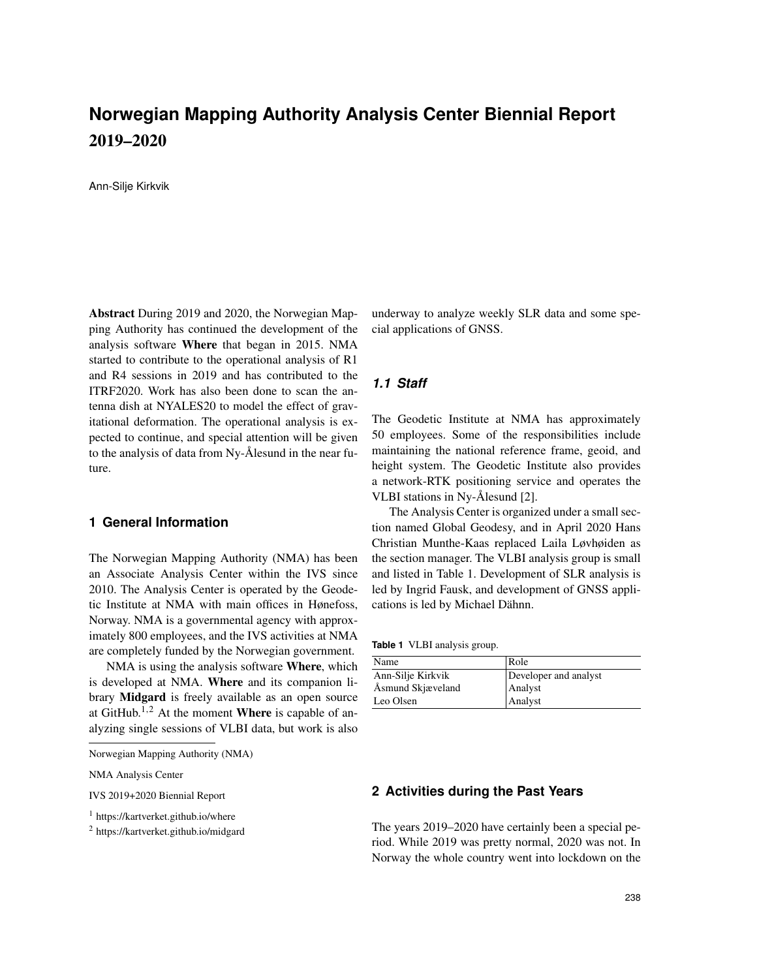# **Norwegian Mapping Authority Analysis Center Biennial Report** 2019–2020

Ann-Silje Kirkvik

Abstract During 2019 and 2020, the Norwegian Mapping Authority has continued the development of the analysis software Where that began in 2015. NMA started to contribute to the operational analysis of R1 and R4 sessions in 2019 and has contributed to the ITRF2020. Work has also been done to scan the antenna dish at NYALES20 to model the effect of gravitational deformation. The operational analysis is expected to continue, and special attention will be given to the analysis of data from Ny- $\AA$ lesund in the near future.

# **1 General Information**

The Norwegian Mapping Authority (NMA) has been an Associate Analysis Center within the IVS since 2010. The Analysis Center is operated by the Geodetic Institute at NMA with main offices in Hønefoss, Norway. NMA is a governmental agency with approximately 800 employees, and the IVS activities at NMA are completely funded by the Norwegian government.

NMA is using the analysis software Where, which is developed at NMA. Where and its companion library Midgard is freely available as an open source at GitHub.<sup>1,2</sup> At the moment **Where** is capable of analyzing single sessions of VLBI data, but work is also

NMA Analysis Center

IVS 2019+2020 Biennial Report

underway to analyze weekly SLR data and some special applications of GNSS.

### *1.1 Staff*

The Geodetic Institute at NMA has approximately 50 employees. Some of the responsibilities include maintaining the national reference frame, geoid, and height system. The Geodetic Institute also provides a network-RTK positioning service and operates the VLBI stations in Ny-Ålesund [2].

The Analysis Center is organized under a small section named Global Geodesy, and in April 2020 Hans Christian Munthe-Kaas replaced Laila Løvhøiden as the section manager. The VLBI analysis group is small and listed in Table 1. Development of SLR analysis is led by Ingrid Fausk, and development of GNSS applications is led by Michael Dähnn.

**Table 1** VLBI analysis group.

| Name              | Role                  |
|-------------------|-----------------------|
| Ann-Silje Kirkvik | Developer and analyst |
| Åsmund Skjæveland | Analyst               |
| Leo Olsen         | Analyst               |

### **2 Activities during the Past Years**

The years 2019–2020 have certainly been a special period. While 2019 was pretty normal, 2020 was not. In Norway the whole country went into lockdown on the

Norwegian Mapping Authority (NMA)

<sup>1</sup> https://kartverket.github.io/where

<sup>2</sup> https://kartverket.github.io/midgard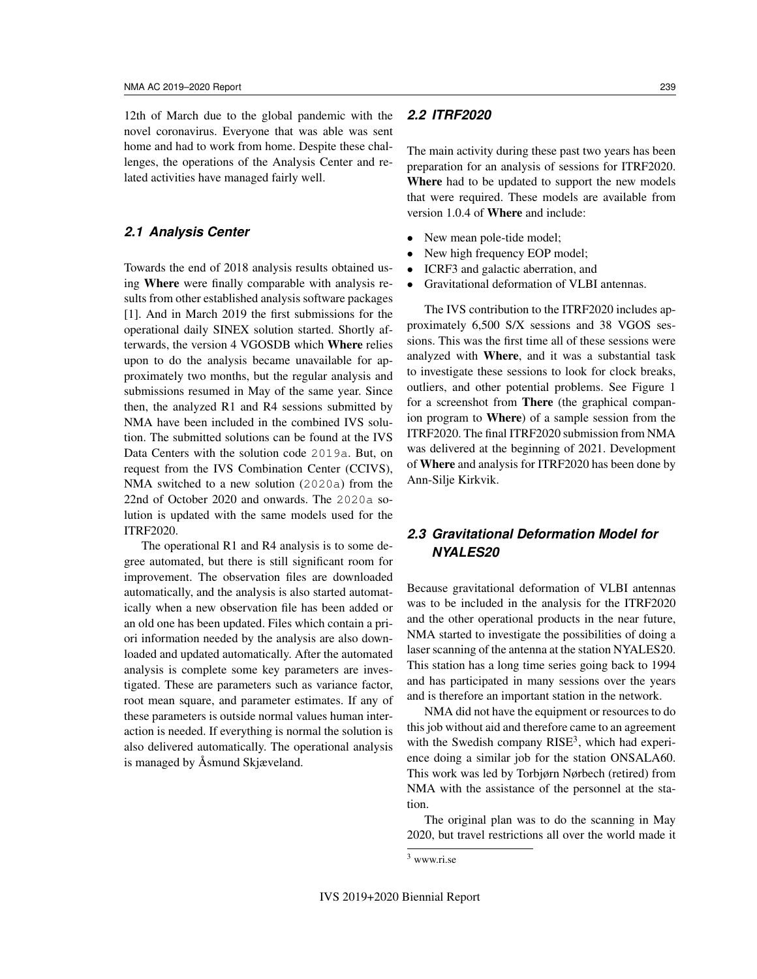12th of March due to the global pandemic with the novel coronavirus. Everyone that was able was sent home and had to work from home. Despite these challenges, the operations of the Analysis Center and related activities have managed fairly well.

# *2.1 Analysis Center*

Towards the end of 2018 analysis results obtained using Where were finally comparable with analysis results from other established analysis software packages [1]. And in March 2019 the first submissions for the operational daily SINEX solution started. Shortly afterwards, the version 4 VGOSDB which Where relies upon to do the analysis became unavailable for approximately two months, but the regular analysis and submissions resumed in May of the same year. Since then, the analyzed R1 and R4 sessions submitted by NMA have been included in the combined IVS solution. The submitted solutions can be found at the IVS Data Centers with the solution code 2019a. But, on request from the IVS Combination Center (CCIVS), NMA switched to a new solution (2020a) from the 22nd of October 2020 and onwards. The 2020a solution is updated with the same models used for the ITRF2020.

The operational R1 and R4 analysis is to some degree automated, but there is still significant room for improvement. The observation files are downloaded automatically, and the analysis is also started automatically when a new observation file has been added or an old one has been updated. Files which contain a priori information needed by the analysis are also downloaded and updated automatically. After the automated analysis is complete some key parameters are investigated. These are parameters such as variance factor, root mean square, and parameter estimates. If any of these parameters is outside normal values human interaction is needed. If everything is normal the solution is also delivered automatically. The operational analysis is managed by Asmund Skjæveland.

# *2.2 ITRF2020*

The main activity during these past two years has been preparation for an analysis of sessions for ITRF2020. Where had to be updated to support the new models that were required. These models are available from version 1.0.4 of Where and include:

- New mean pole-tide model;
- New high frequency EOP model;
- ICRF3 and galactic aberration, and
- Gravitational deformation of VLBI antennas.

The IVS contribution to the ITRF2020 includes approximately 6,500 S/X sessions and 38 VGOS sessions. This was the first time all of these sessions were analyzed with Where, and it was a substantial task to investigate these sessions to look for clock breaks, outliers, and other potential problems. See Figure 1 for a screenshot from There (the graphical companion program to Where) of a sample session from the ITRF2020. The final ITRF2020 submission from NMA was delivered at the beginning of 2021. Development of Where and analysis for ITRF2020 has been done by Ann-Silje Kirkvik.

# *2.3 Gravitational Deformation Model for NYALES20*

Because gravitational deformation of VLBI antennas was to be included in the analysis for the ITRF2020 and the other operational products in the near future, NMA started to investigate the possibilities of doing a laser scanning of the antenna at the station NYALES20. This station has a long time series going back to 1994 and has participated in many sessions over the years and is therefore an important station in the network.

NMA did not have the equipment or resources to do this job without aid and therefore came to an agreement with the Swedish company  $RISE<sup>3</sup>$ , which had experience doing a similar job for the station ONSALA60. This work was led by Torbjørn Nørbech (retired) from NMA with the assistance of the personnel at the station.

The original plan was to do the scanning in May 2020, but travel restrictions all over the world made it

<sup>3</sup> www.ri.se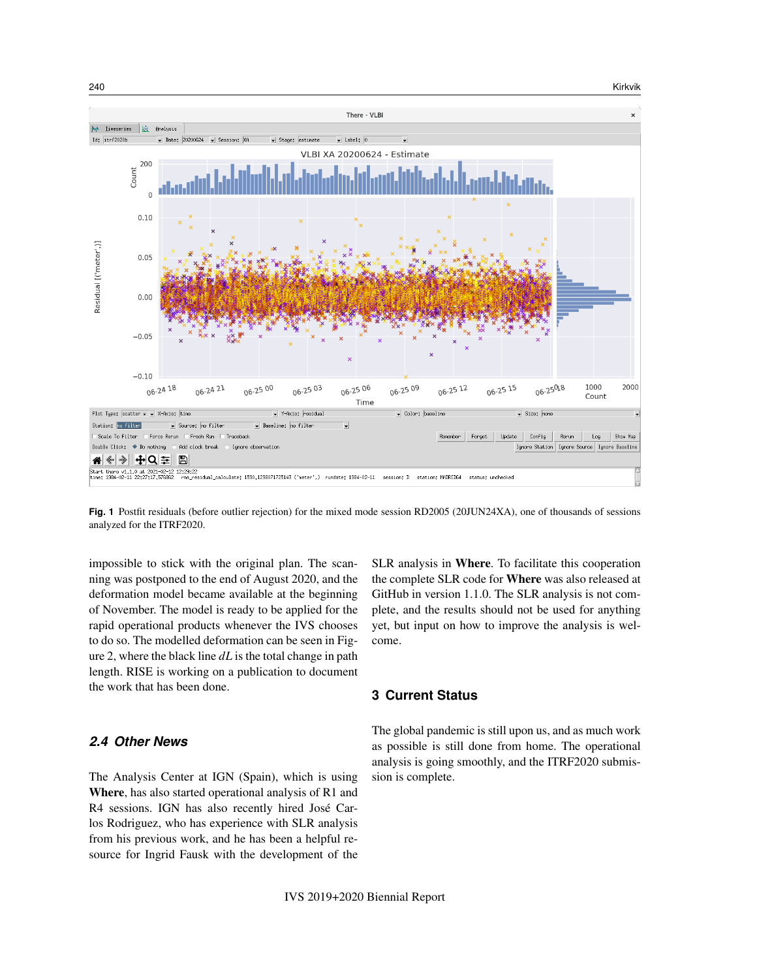

**Fig. 1** Postfit residuals (before outlier rejection) for the mixed mode session RD2005 (20JUN24XA), one of thousands of sessions analyzed for the ITRF2020.

impossible to stick with the original plan. The scanning was postponed to the end of August 2020, and the deformation model became available at the beginning of November. The model is ready to be applied for the rapid operational products whenever the IVS chooses to do so. The modelled deformation can be seen in Figure 2, where the black line *dL* is the total change in path length. RISE is working on a publication to document the work that has been done.

# *2.4 Other News*

The Analysis Center at IGN (Spain), which is using Where, has also started operational analysis of R1 and R4 sessions. IGN has also recently hired Jose Car- ´ los Rodriguez, who has experience with SLR analysis from his previous work, and he has been a helpful resource for Ingrid Fausk with the development of the

SLR analysis in Where. To facilitate this cooperation the complete SLR code for Where was also released at GitHub in version 1.1.0. The SLR analysis is not complete, and the results should not be used for anything yet, but input on how to improve the analysis is welcome.

### **3 Current Status**

The global pandemic is still upon us, and as much work as possible is still done from home. The operational analysis is going smoothly, and the ITRF2020 submission is complete.